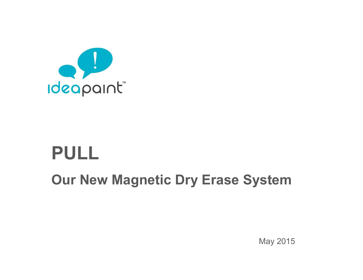

## **PULL**

**Our New Magnetic Dry Erase System**

May 2015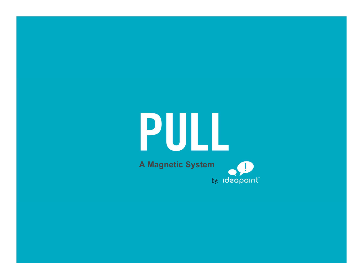# PULL **A Magnetic System**by: Ideapaint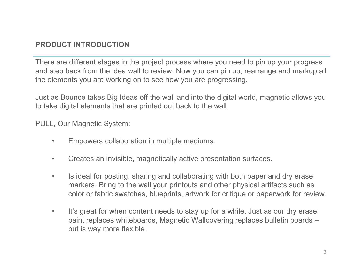### **PRODUCT INTRODUCTION**

There are different stages in the project process where you need to pin up your progress and step back from the idea wall to review. Now you can pin up, rearrange and markup all the elements you are working on to see how you are progressing.

Just as Bounce takes Big Ideas off the wall and into the digital world, magnetic allows you to take digital elements that are printed out back to the wall.

PULL, Our Magnetic System:

- Empowers collaboration in multiple mediums.
- Creates an invisible, magnetically active presentation surfaces.
- Is ideal for posting, sharing and collaborating with both paper and dry erase markers. Bring to the wall your printouts and other physical artifacts such as color or fabric swatches, blueprints, artwork for critique or paperwork for review.
- It's great for when content needs to stay up for a while. Just as our dry erase paint replaces whiteboards, Magnetic Wallcovering replaces bulletin boards – but is way more flexible.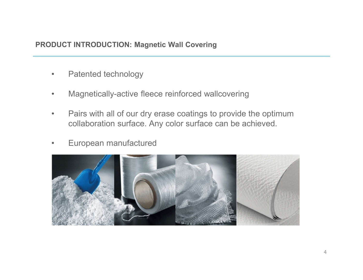### **PRODUCT INTRODUCTION: Magnetic Wall Covering**

- Patented technology
- Magnetically-active fleece reinforced wallcovering
- Pairs with all of our dry erase coatings to provide the optimum collaboration surface. Any color surface can be achieved.
- European manufactured

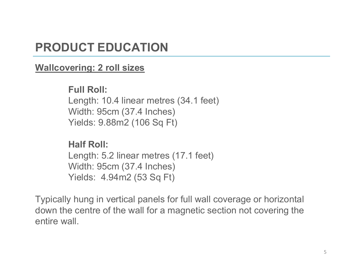### **PRODUCT EDUCATION**

### **Wallcovering: 2 roll sizes**

**Full Roll:** Length: 10.4 linear metres (34.1 feet) Width: 95cm (37.4 Inches) Yields: 9.88m2 (106 Sq Ft)

**Half Roll:** Length: 5.2 linear metres (17.1 feet) Width: 95cm (37.4 Inches) Yields: 4.94m2 (53 Sq Ft)

Typically hung in vertical panels for full wall coverage or horizontal down the centre of the wall for a magnetic section not covering the entire wall.